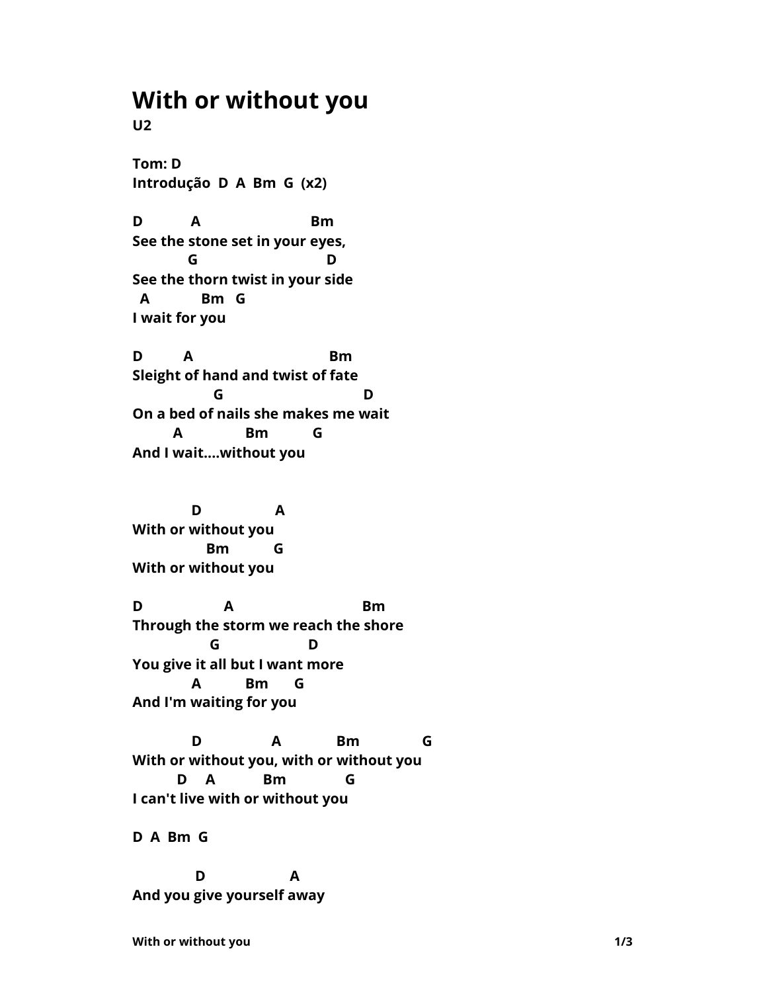## **With or without you**

**U2**

**Tom: D Introdução D A Bm G (x2)**

**D A Bm See the stone set in your eyes, G D See the thorn twist in your side A Bm G I wait for you**

**D A Bm Sleight of hand and twist of fate G D On a bed of nails she makes me wait A Bm G And I wait....without you**

 **D A With or without you Bm G With or without you**

**D A Bm Through the storm we reach the shore G D You give it all but I want more A Bm G And I'm waiting for you**

 **D A Bm G With or without you, with or without you D A Bm G I can't live with or without you**

**D A Bm G**

 **D A And you give yourself away**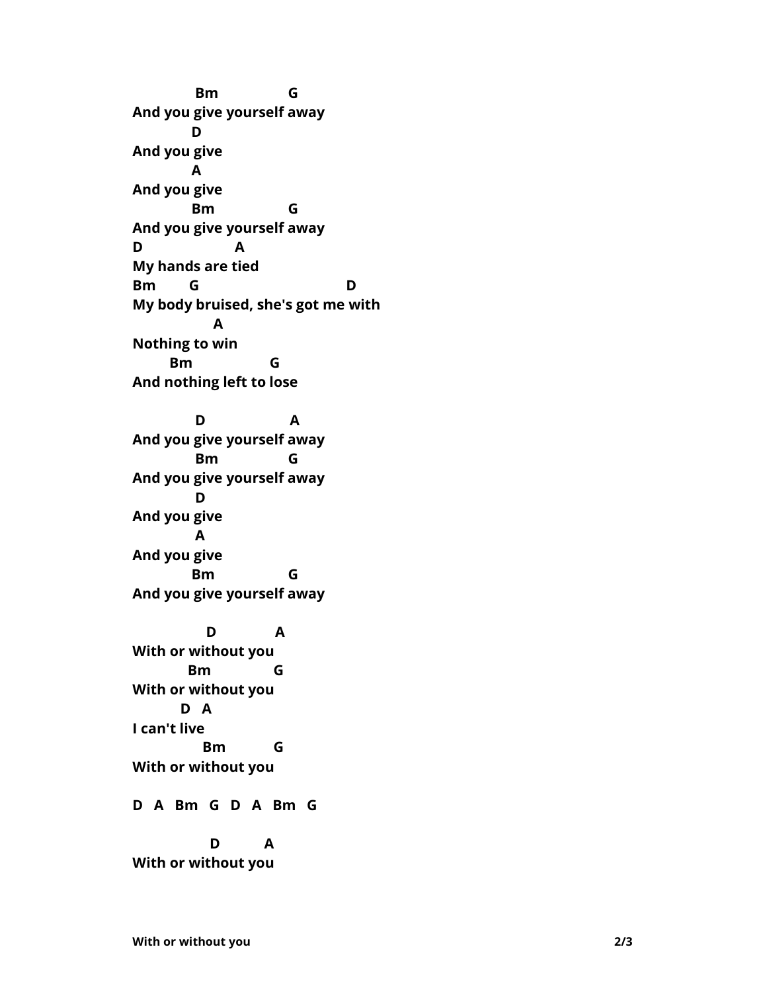**Bm G And you give yourself away D And you give A And you give Bm G And you give yourself away D A My hands are tied Bm G D My body bruised, she's got me with A Nothing to win Bm G And nothing left to lose**

 **D A And you give yourself away Bm G And you give yourself away D And you give A And you give Bm G And you give yourself away**

 **D A With or without you Bm G With or without you D A I can't live Bm G With or without you**

**D A Bm G D A Bm G**

 **D A With or without you**